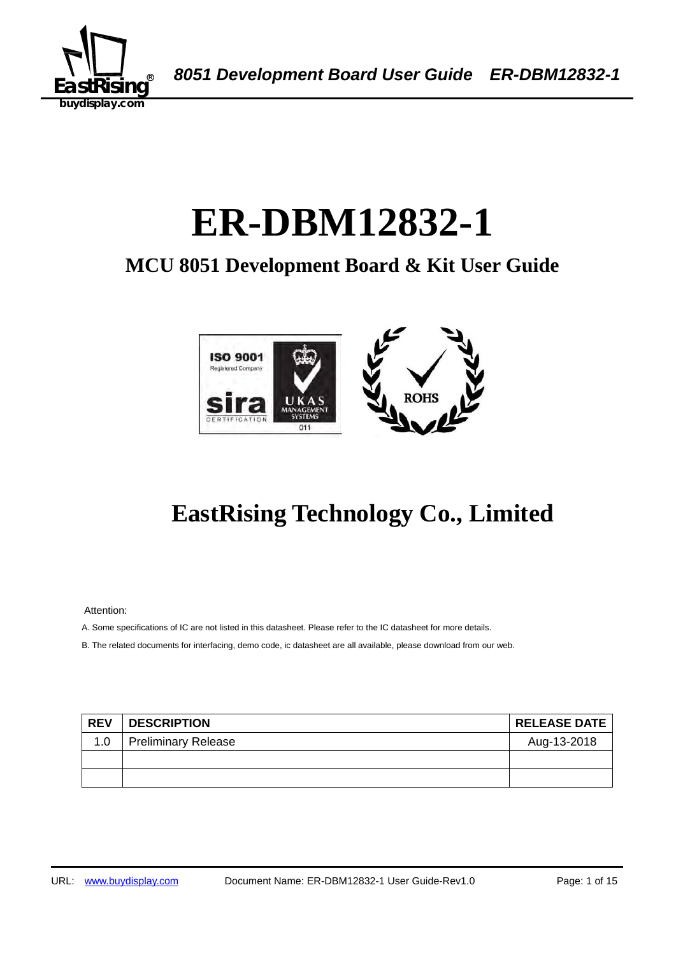

A *8051 Development Board User Guide ER-DBM12832-1*

# ER-DBM12832-1

## **MCU 8051 Development Board & Kit User Guide**



## **EastRising Technology Co., Limited**

Attention:

A. Some specifications of IC are not listed in this datasheet. Please refer to the IC datasheet for more details.

B. The related documents for interfacing, demo code, ic datasheet are all available, please download from our web.

| <b>REV</b> | <b>DESCRIPTION</b>         | <b>RELEASE DATE</b> |
|------------|----------------------------|---------------------|
| 1.0        | <b>Preliminary Release</b> | Aug-13-2018         |
|            |                            |                     |
|            |                            |                     |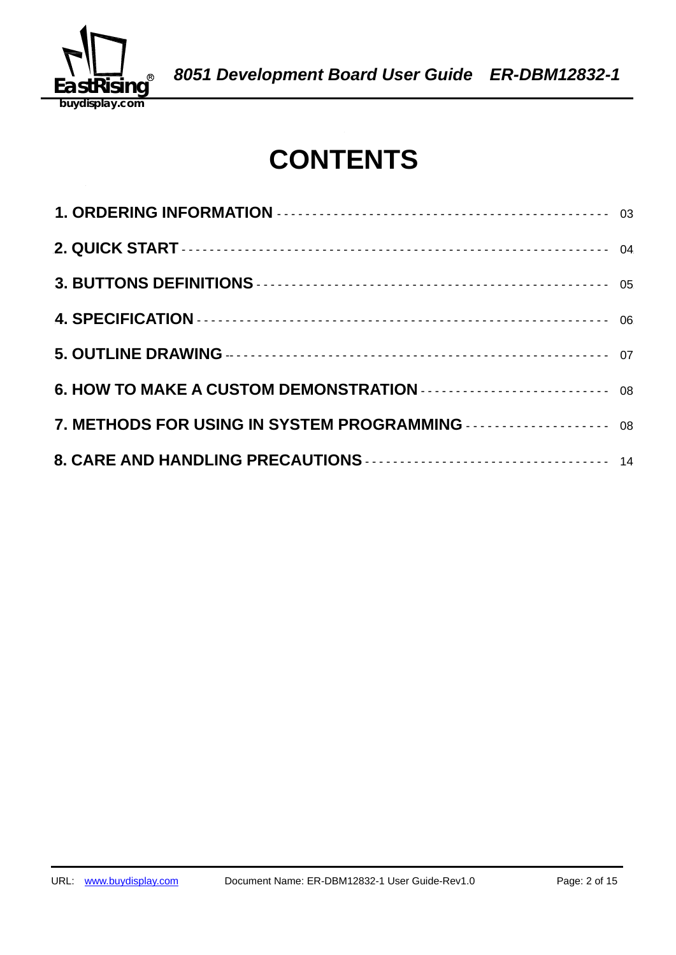

## **CONTENTS**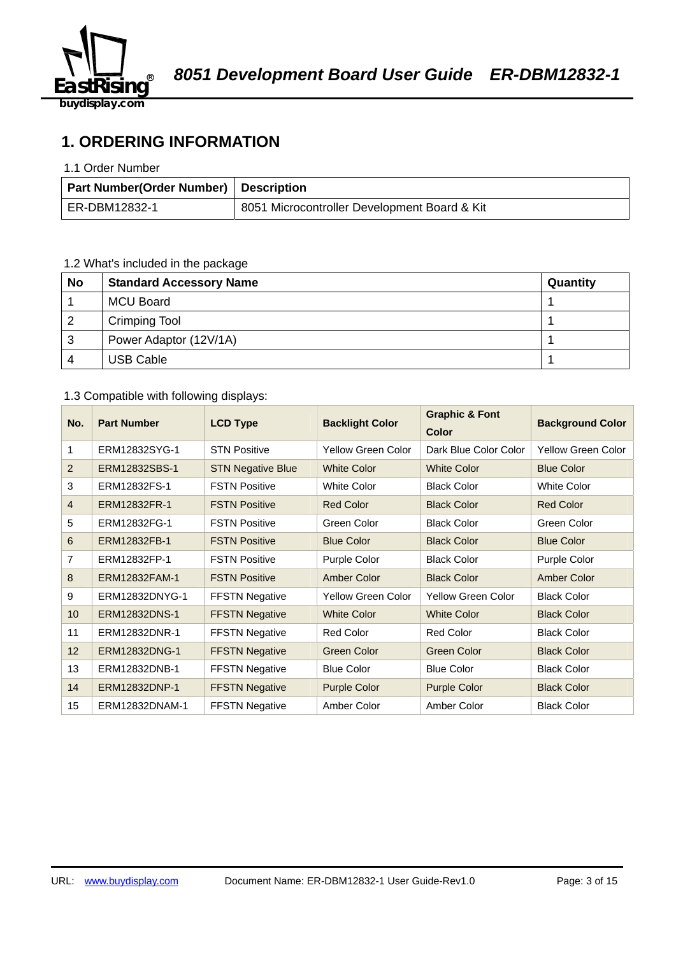

## **1. ORDERING INFORMATION**

#### 1.1 Order Number

| Part Number(Order Number)   Description |                                              |
|-----------------------------------------|----------------------------------------------|
| ER-DBM12832-1                           | 8051 Microcontroller Development Board & Kit |

## 1.2 What's included in the package

| <b>No</b> | <b>Standard Accessory Name</b> | Quantity |
|-----------|--------------------------------|----------|
|           | <b>MCU Board</b>               |          |
| -2        | <b>Crimping Tool</b>           |          |
| 3         | Power Adaptor (12V/1A)         |          |
| 4         | <b>USB Cable</b>               |          |

#### 1.3 Compatible with following displays:

| No.             | <b>Part Number</b>   | <b>LCD Type</b>          | <b>Backlight Color</b>    | <b>Graphic &amp; Font</b><br><b>Color</b> | <b>Background Color</b>   |
|-----------------|----------------------|--------------------------|---------------------------|-------------------------------------------|---------------------------|
| 1               | ERM12832SYG-1        | <b>STN Positive</b>      | <b>Yellow Green Color</b> | Dark Blue Color Color                     | <b>Yellow Green Color</b> |
| 2               | ERM12832SBS-1        | <b>STN Negative Blue</b> | <b>White Color</b>        | <b>White Color</b>                        | <b>Blue Color</b>         |
| 3               | ERM12832FS-1         | <b>FSTN Positive</b>     | <b>White Color</b>        | <b>Black Color</b>                        | <b>White Color</b>        |
| $\overline{4}$  | ERM12832FR-1         | <b>FSTN Positive</b>     | <b>Red Color</b>          | <b>Black Color</b>                        | <b>Red Color</b>          |
| 5               | ERM12832FG-1         | <b>FSTN Positive</b>     | Green Color               | <b>Black Color</b>                        | Green Color               |
| 6               | ERM12832FB-1         | <b>FSTN Positive</b>     | <b>Blue Color</b>         | <b>Black Color</b>                        | <b>Blue Color</b>         |
| 7               | ERM12832FP-1         | <b>FSTN Positive</b>     | Purple Color              | <b>Black Color</b>                        | Purple Color              |
| 8               | <b>ERM12832FAM-1</b> | <b>FSTN Positive</b>     | <b>Amber Color</b>        | <b>Black Color</b>                        | <b>Amber Color</b>        |
| 9               | ERM12832DNYG-1       | <b>FFSTN Negative</b>    | Yellow Green Color        | Yellow Green Color                        | <b>Black Color</b>        |
| 10 <sup>°</sup> | ERM12832DNS-1        | <b>FFSTN Negative</b>    | <b>White Color</b>        | <b>White Color</b>                        | <b>Black Color</b>        |
| 11              | ERM12832DNR-1        | <b>FFSTN Negative</b>    | <b>Red Color</b>          | <b>Red Color</b>                          | <b>Black Color</b>        |
| 12 <sup>2</sup> | ERM12832DNG-1        | <b>FFSTN Negative</b>    | Green Color               | Green Color                               | <b>Black Color</b>        |
| 13              | ERM12832DNB-1        | <b>FFSTN Negative</b>    | <b>Blue Color</b>         | <b>Blue Color</b>                         | <b>Black Color</b>        |
| 14              | ERM12832DNP-1        | <b>FFSTN Negative</b>    | <b>Purple Color</b>       | <b>Purple Color</b>                       | <b>Black Color</b>        |
| 15              | ERM12832DNAM-1       | <b>FFSTN Negative</b>    | Amber Color               | Amber Color                               | <b>Black Color</b>        |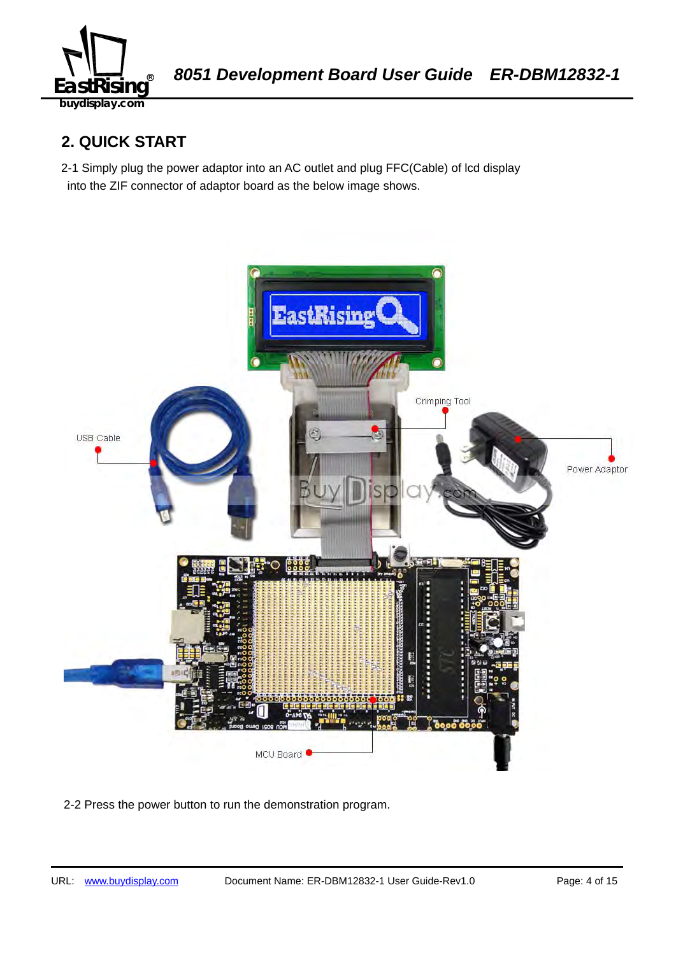

## **2. QUICK START**

2-1 Simply plug the power adaptor into an AC outlet and plug FFC(Cable) of lcd display into the ZIF connector of adaptor board as the below image shows.



2-2 Press the power button to run the demonstration program.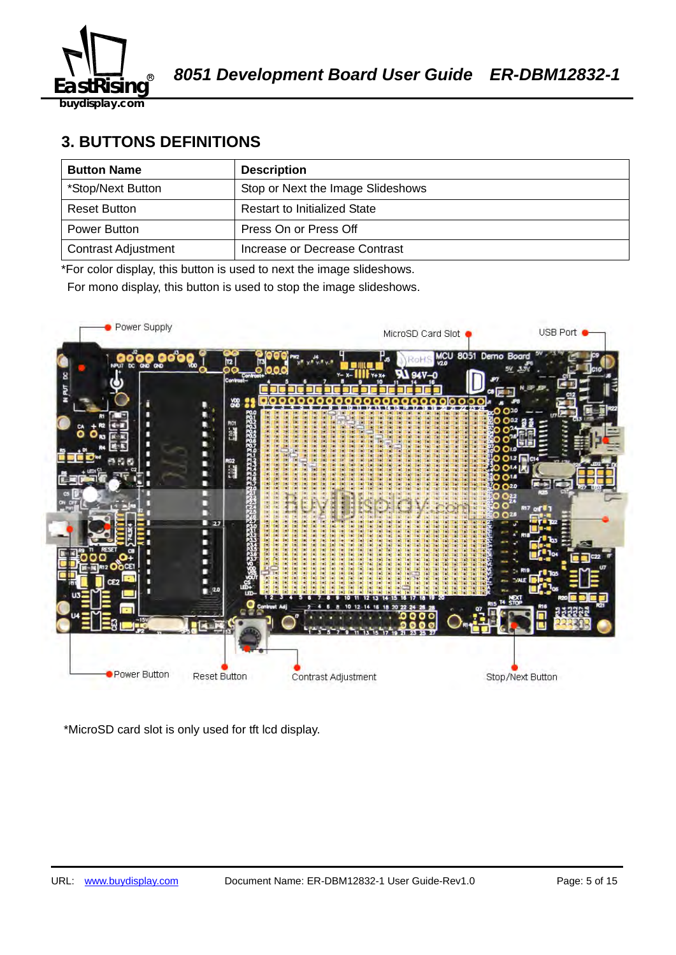

## **3. BUTTONS DEFINITIONS**

| <b>Button Name</b>         | <b>Description</b>                  |
|----------------------------|-------------------------------------|
| *Stop/Next Button          | Stop or Next the Image Slideshows   |
| <b>Reset Button</b>        | <b>Restart to Initialized State</b> |
| Power Button               | Press On or Press Off               |
| <b>Contrast Adjustment</b> | Increase or Decrease Contrast       |

\*For color display, this button is used to next the image slideshows.

For mono display, this button is used to stop the image slideshows.



\*MicroSD card slot is only used for tft lcd display.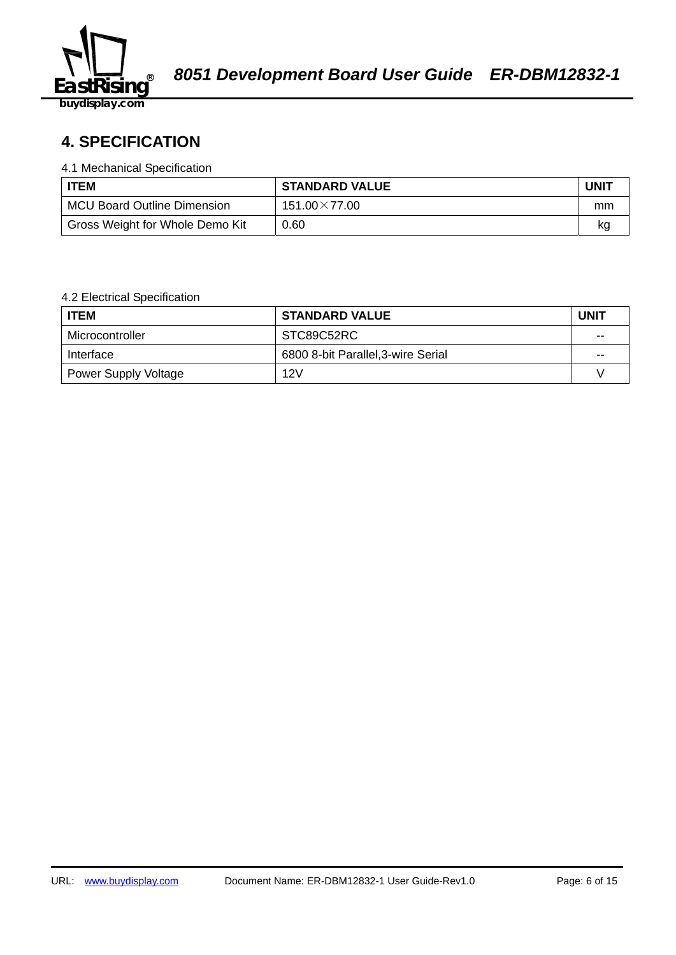

## 58B2140359**4. SPECIFICATION**

#### 4.1 Mechanical Specification

| <b>ITEM</b>                        | <b>STANDARD VALUE</b> | <b>UNIT</b> |
|------------------------------------|-----------------------|-------------|
| <b>MCU Board Outline Dimension</b> | $151.00\times77.00$   | mm          |
| Gross Weight for Whole Demo Kit    | 0.60                  | kq          |

#### 4.2 Electrical Specification

| <b>ITEM</b>                 | <b>STANDARD VALUE</b>              | <b>UNIT</b> |
|-----------------------------|------------------------------------|-------------|
| Microcontroller             | STC89C52RC                         | $-$         |
| Interface                   | 6800 8-bit Parallel, 3-wire Serial | $- -$       |
| <b>Power Supply Voltage</b> | 12V                                |             |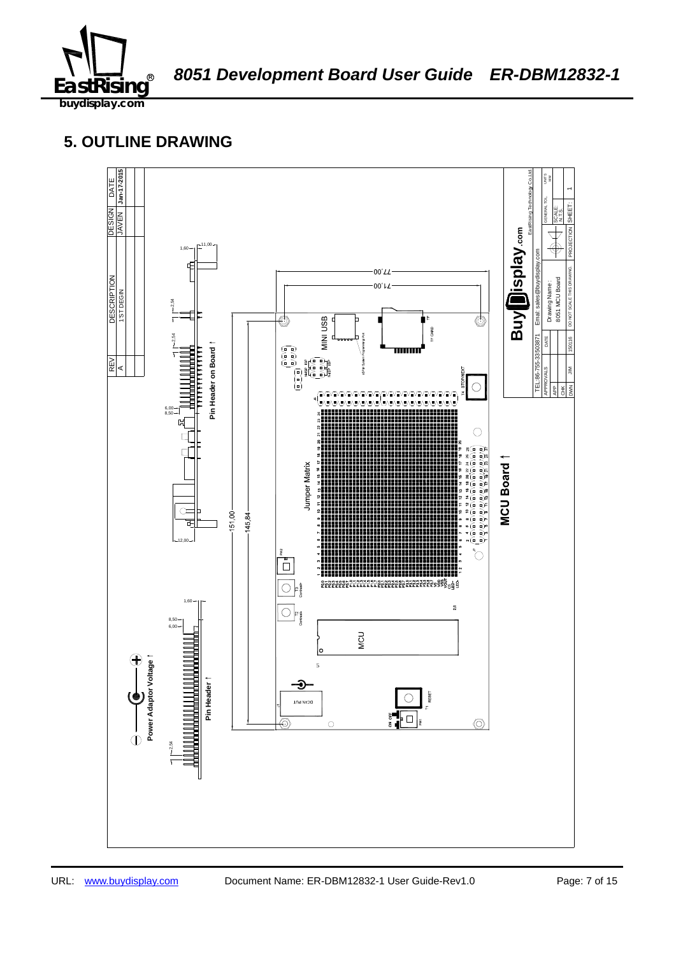

## **5. OUTLINE DRAWING**

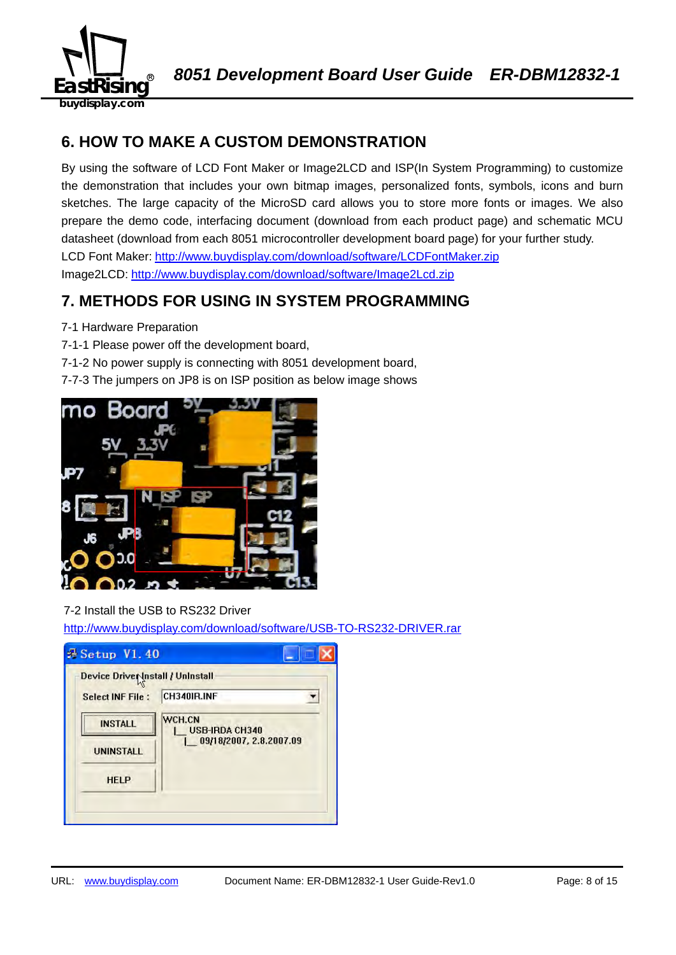

## **6. HOW TO MAKE A CUSTOM DEMONSTRATION**

By using the software of LCD Font Maker or Image2LCD and ISP(In System Programming) to customize the demonstration that includes your own bitmap images, personalized fonts, symbols, icons and burn sketches. The large capacity of the MicroSD card allows you to store more fonts or images. We also prepare the demo code, interfacing document (download from each product page) and schematic MCU datasheet (download from each 8051 microcontroller development board page) for your further study. LCD Font Maker: http://www.buydisplay.com/download/software/LCDFontMaker.zip Image2LCD: http://www.buydisplay.com/download/software/Image2Lcd.zip

## **7. METHODS FOR USING IN SYSTEM PROGRAMMING**

- 7-1 Hardware Preparation
- 7-1-1 Please power off the development board,
- 7-1-2 No power supply is connecting with 8051 development board,
- 7-7-3 The jumpers on JP8 is on ISP position as below image shows



## 7-2 Install the USB to RS232 Driver

http://www.buydisplay.com/download/software/USB-TO-RS232-DRIVER.rar

| Device Driver Install / Uninstall |                                 |
|-----------------------------------|---------------------------------|
| <b>Select INF File:</b>           | CH340IR.INF                     |
| <b>INSTALL</b>                    | WCH.CN<br><b>USB-IRDA CH340</b> |
| <b>UNINSTALL</b>                  | 09/18/2007, 2.8.2007.09         |
| <b>HELP</b>                       |                                 |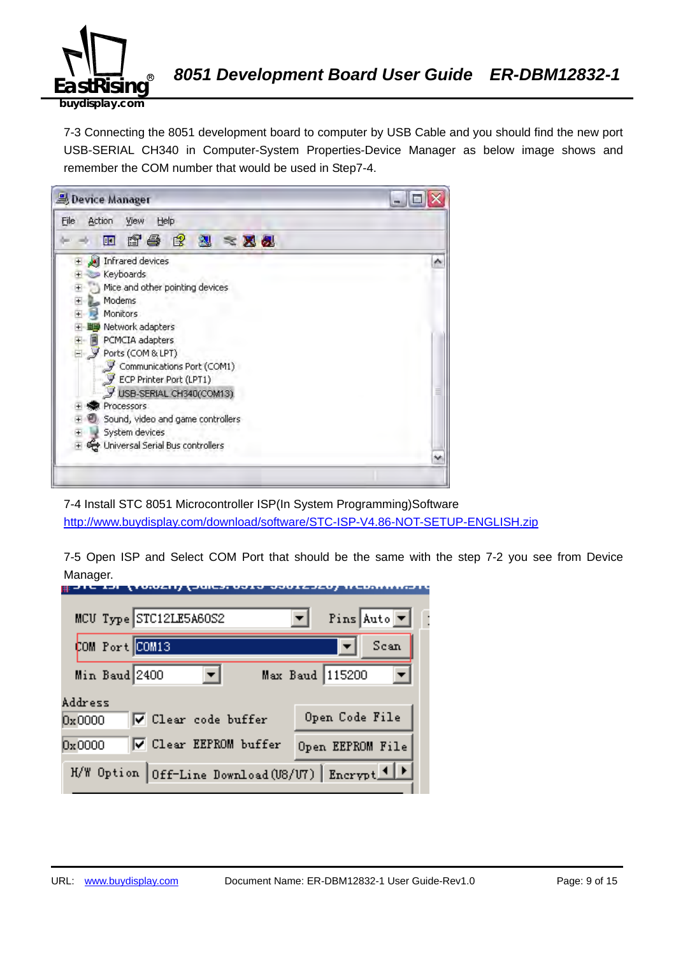

7-3 Connecting the 8051 development board to computer by USB Cable and you should find the new port USB-SERIAL CH340 in Computer-System Properties-Device Manager as below image shows and remember the COM number that would be used in Step7-4.



7-4 Install STC 8051 Microcontroller ISP(In System Programming)Software http://www.buydisplay.com/download/software/STC-ISP-V4.86-NOT-SETUP-ENGLISH.zip

7-5 Open ISP and Select COM Port that should be the same with the step 7-2 you see from Device Manager.

| MCU Type STC12LE5A60S2                            | Pins Auto $\boxed{\mathbf{v}}$ |
|---------------------------------------------------|--------------------------------|
| COM Port COM13                                    | Scan                           |
| Min Baud 2400                                     | Max Baud 115200                |
| Address<br>V Clear code buffer<br>0x0000          | Open Code File                 |
| <b>▽</b> Clear EEPROM buffer<br>0x0000            | Open EEPROM File               |
| H/W Option Off-Line Download (U8/U7) Encrypt 1  > |                                |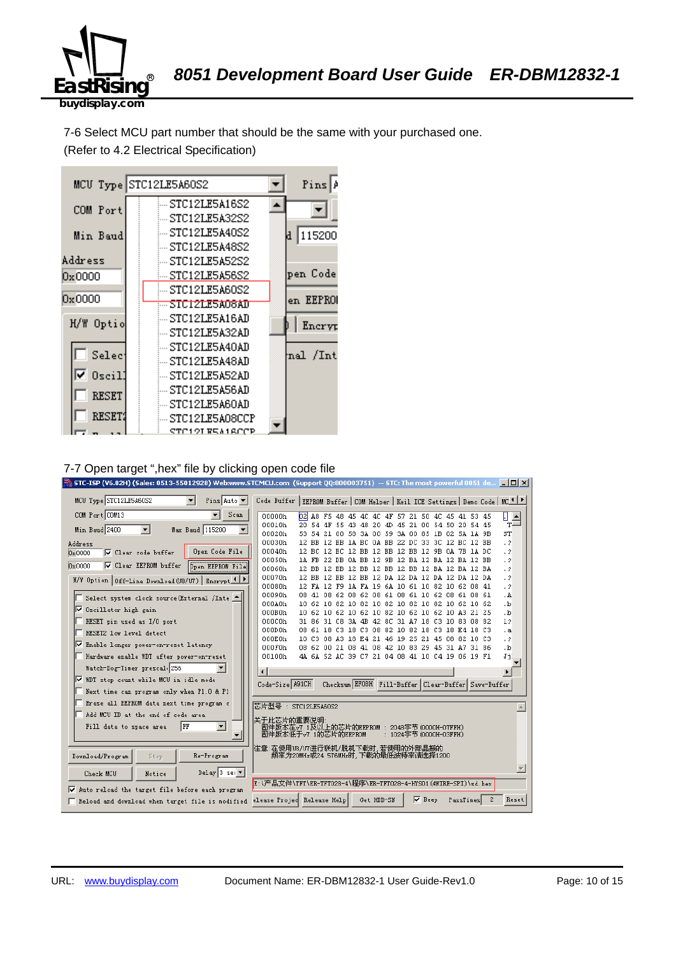

7-6 Select MCU part number that should be the same with your purchased one. (Refer to 4.2 Electrical Specification)



#### 7-7 Open target ",hex" file by clicking open code file

|                                                                                  | STC-ISP (V6.82H) (Sales: 0513-55012928) Web:www.STCMCU.com (Support QQ:800003751) -- STC: The most powerful 8051 de $\Box$ $\Box$ $\times$ |                               |
|----------------------------------------------------------------------------------|--------------------------------------------------------------------------------------------------------------------------------------------|-------------------------------|
| MCU Type STC12LE5A60S2<br>$\blacksquare$<br>Pins Auto $\blacktriangledown$       | Code Buffer   EEPROM Buffer   COM Helper   Keil ICE Settings   Demo Code   MC <sup>1   P</sup>                                             |                               |
| COM Port COM13<br>Scan<br>$\overline{\phantom{a}}$                               | 00000h<br>$b^2$<br>A8 F5 48 45 4C 4C 4F 57 21 50 4C 45 41 53 45                                                                            | П<br>$\overline{\phantom{0}}$ |
|                                                                                  | 00010h<br>20 54 4F<br>55 43 48 20<br>45 21 00 54 50 20 54 45<br>-4D                                                                        | $T =$                         |
| Min Baud 2400<br>$\blacktriangledown$<br>Max Baud 115200<br>$\blacktriangledown$ | 00020h<br>21 00 58 3A 00 59 3A 00 85 1B 02 5A 1A 9B<br>53.<br>54                                                                           | ST                            |
| Address                                                                          | 00030h<br>12 BB 12 BB 1A BC 0A BB 22 DC 33 3C 12 BC 12 BB                                                                                  | $\cdot$ ?                     |
| Open Code File<br>□ Clear code buffer<br>0x0000                                  | 00040h<br>12 BC 12 BC 12 BB 12 BB 12 BB 12 9B 0A 7B 1A DC                                                                                  | $\cdot$ ?                     |
| <b>▽</b> Clear EEPROM buffer<br><b>Open EEPROM File</b><br>0x0000                | 00050h<br>1A FB 22 DB 0A BB 12 9B 12 BA 12 BA 12 BA 12 BB                                                                                  | $\cdot$ ?                     |
|                                                                                  | 00060h<br>12 BB 12 BB 12 BB 12 BB 12 BB 12 BA 12 BA 12 BA                                                                                  | $\cdot$ ?                     |
| H/W Option   Off-Line Download (U8/U7)   Encrypt 1   P                           | 00070h<br>12 BB 12 BB 12 BB 12 DA 12 DA 12 DA 12 DA 12 DA<br>00080h<br>12 FA 12 F9 1A FA 19 6A 10 61 10 82 10 62 08 41                     | $\cdot$ 2<br>$\cdot$ ?        |
|                                                                                  | 00090h<br>08 41 08 62 08 62 08 61 08 61 10 62 08 61 08 61                                                                                  | . A                           |
| Select system clock source (External /Inte                                       | 000A0h<br>10 62 10 82 10 82 10 82 10 82 10 82 10 62 10 62                                                                                  | ۰b.                           |
| <b>▽</b> Oscillator high gain                                                    | 000B0h<br>10 62 10 62 10 62 10 82 10 62 10 62 10 A3 21 25                                                                                  | .b                            |
| RESET pin used as I/O port                                                       | 000C0h<br>31 86 31 C8 3A 4B 42 8C 31 A7 18 C3 10 83 08 82                                                                                  | 12                            |
| RESET2 low level detect                                                          | 000D0h<br>08 61 18 C3 18 C3 08 82 10 82 18 C3 18 E4 18 C3                                                                                  | . а                           |
|                                                                                  | 000E0h<br>10 C3 08 A3 18 E4 21 46 19 25 21 45 08 82 10 C3                                                                                  | . ?                           |
| ll⊽<br>Enable longer power-on-reset latency                                      | 000F0h<br>08 62 00 21 08 41 08 42 10 83 29 45 31 A7 31 86                                                                                  | $\cdot$ <sub>b</sub>          |
| Hardware enable WDT after power-on-reset                                         | 00100h<br>4A 6A 52 AC 39 C7 21 04 08 41 10 C4 19 06 19 F1                                                                                  | Jj                            |
| Watch-Dog-Timer prescal 256                                                      | $\blacksquare$                                                                                                                             | $\blacktriangleright$         |
| Ⅳ WDT stop count while MCU in idle mode                                          | Checksum EFOBH Fill-Buffer Clear-Buffer Save-Buffer<br>Code-Size A91CH                                                                     |                               |
| Next time can program only when P1.0 & P1                                        |                                                                                                                                            |                               |
| Erase all EEPROM data next time program c                                        | 芯片型号: STC12LE5A60S2                                                                                                                        |                               |
| Add MCU ID at the end of code area                                               | 关于此芯片的重要说明                                                                                                                                 |                               |
| $\blacktriangledown$<br>Fill data to space area<br>  FF                          | 固件版本在v7.1及以上的芯片的EEPROM : 2048字节(0000H-07FFH)<br>固件版本低于v7.1的芯片的EEPROM<br>: 1024字节 (0000H-03FFH)                                             |                               |
|                                                                                  |                                                                                                                                            |                               |
| Re-Program<br>Download/Program<br>Stop                                           | 注意∶在使用U8/U7进行联机/脱机下载时,若使用的外部晶振的<br>频率为20MHz或24.576MHz时,下载的最低波特率请选择1200                                                                     |                               |
| Delay 3 sec $\overline{ }$                                                       |                                                                                                                                            |                               |
| Check MCU<br>Notice                                                              | E:\产品文件\TFT\ER-TFT028-4\程序\ER-TFT028-4-HYS01 (4WIRE-SPI)\sd.hex                                                                            |                               |
| Auto reload the target file before each program<br>⊽                             |                                                                                                                                            |                               |
| Reload and download when target file is modified                                 | Get HDD-SN<br>$\nabla$ Beep<br>elease Projed Release Help<br>2<br>PassTimes                                                                | Reset                         |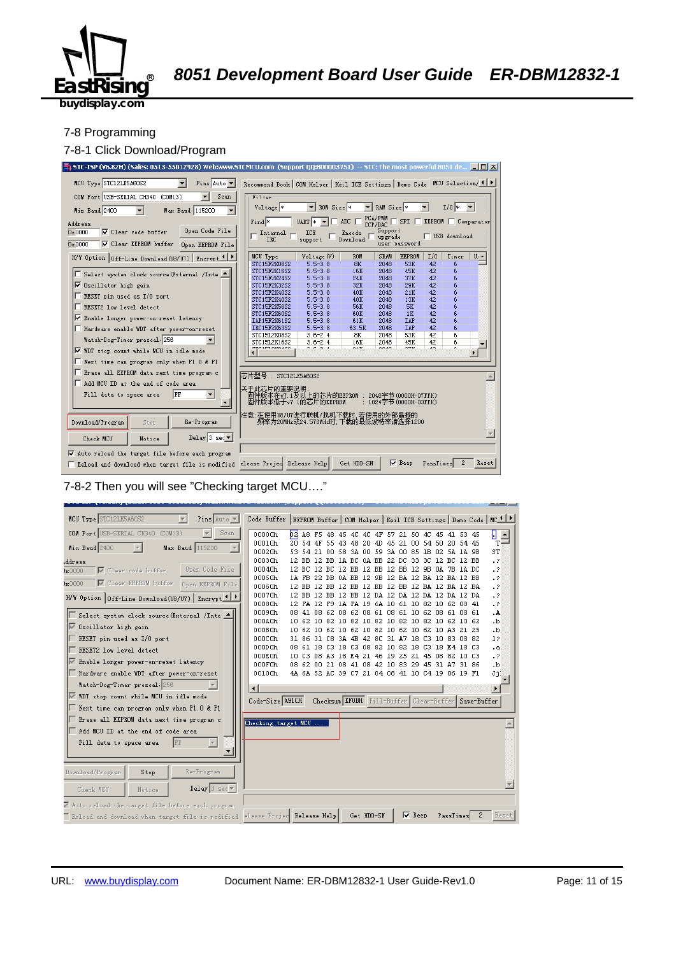

#### 7-8 Programming

#### 7-8-1 Click Download/Program



7-8-2 Then you will see "Checking target MCU…."

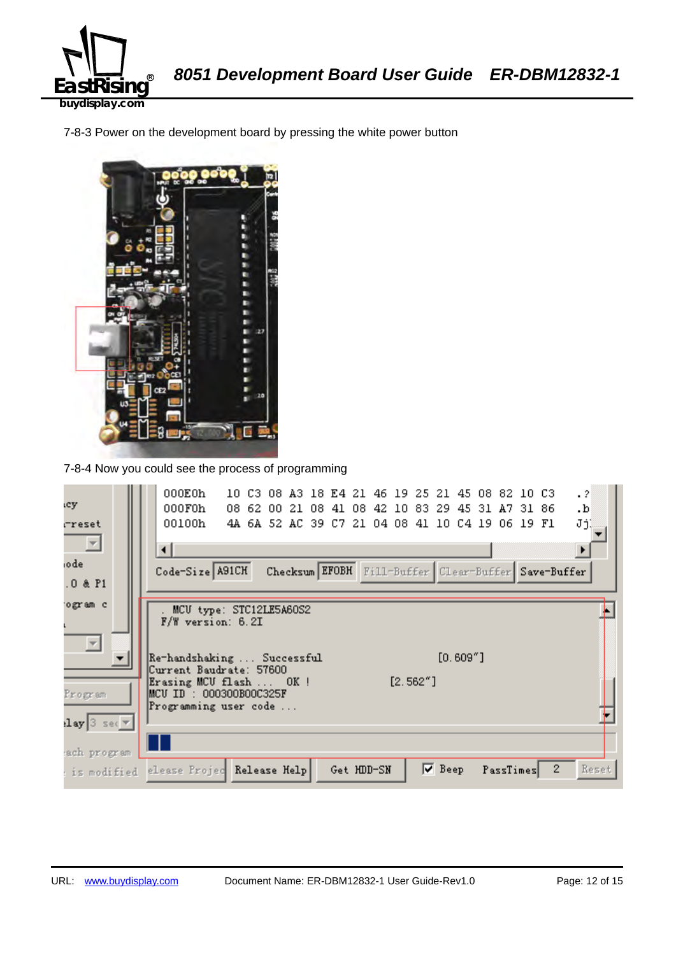

7-8-3 Power on the development board by pressing the white power button



7-8-4 Now you could see the process of programming

| ιcy                                                                 | 000E0h<br>$\cdot$ 2<br>10 C3 08 A3 18 E4 21 46 19 25 21 45 08 82 10 C3<br>000F0h<br>08 62 00 21 08 41 08 42 10 83 29 45 31 A7 31 86<br>$\cdot$ <sub>b</sub> |
|---------------------------------------------------------------------|-------------------------------------------------------------------------------------------------------------------------------------------------------------|
| rreset<br>$\Box$                                                    | 00100h<br>JjĮ<br>4A 6A 52 AC 39 C7 21 04 08 41 10 C4 19 06 19 F1<br>⊣                                                                                       |
| iodel<br>$.0$ & $P1$                                                | Code-Size A91CH<br>Checksum EFOBH Fill-Buffer Clear-Buffer Save-Buffer                                                                                      |
| ogram c                                                             | MCU type: STC12LE5A60S2<br><b>F/W</b> version: 6.2I                                                                                                         |
| $\overline{\phantom{m}}$                                            | $[0.609"$ ]<br>Re-handshaking  Successful<br>Current Baudrate: 57600<br>$[2.562"$ ]<br>Erasing MCU flash  OK!                                               |
| Program                                                             | MCU ID : 000300B00C325F<br>Programming user code                                                                                                            |
| $\lceil \log  3 \rceil$ sec $\lceil \sqrt{n} \rceil$<br>ach program |                                                                                                                                                             |
| : is modified                                                       | $\nabla$ Beep<br>$\mathbf{2}^{\circ}$<br>Reset<br>elease Projec Release Help<br>Get HDD-SN<br>PassTimes                                                     |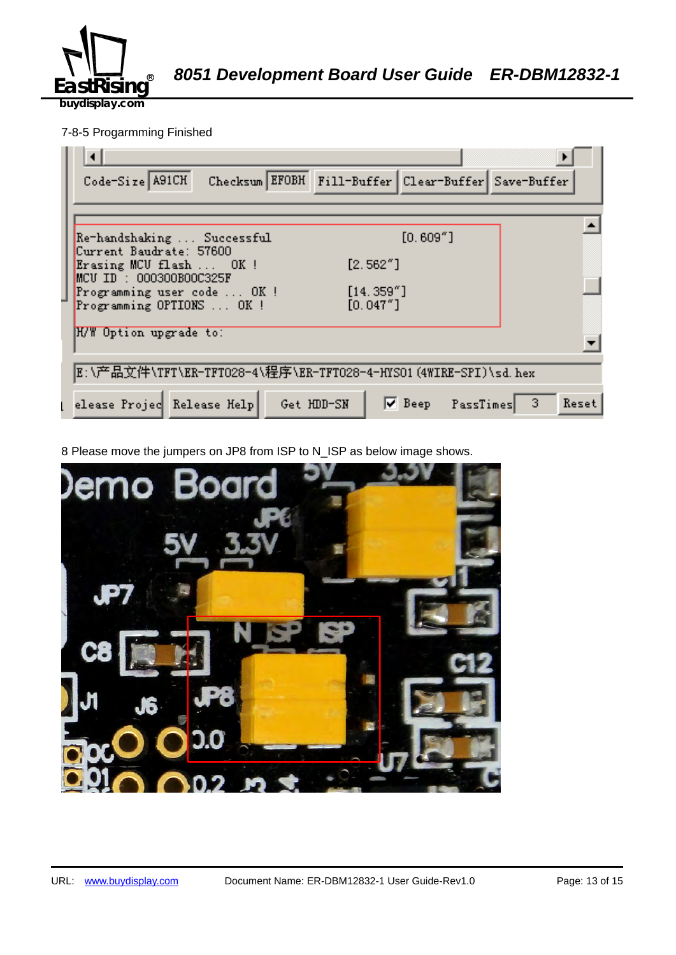

A *8051 Development Board User Guide ER-DBM12832-1*

**buydisplay.com**

## 7-8-5 Progarmming Finished

| Checksum EFOBH Fill-Buffer Clear-Buffer Save-Buffer<br>Code-Size A91CH                                 |
|--------------------------------------------------------------------------------------------------------|
|                                                                                                        |
| $[0.609"$ ]<br>Re-handshaking  Successful<br>Current Baudrate: 57600                                   |
| [2.562"]<br>Erasing MCU flash  OK !<br>$MCU$ ID : 000300B00C325F                                       |
| [14.359'']<br>Programming user code  OK !<br>[0.047"]<br>Programming OPTIONS  OK !                     |
| H/W Option upgrade to:                                                                                 |
| E:\产品文件\TFT\ER-TFTO28-4\程序\ER-TFTO28-4-HYSO1(4WIRE-SPI)\sd.hex                                         |
| $\nabla$ Beep PassTimes<br>elease Projec Release Help<br>$\blacktriangleleft$ 3<br>Get HDD-SN<br>Reset |

8 Please move the jumpers on JP8 from ISP to N\_ISP as below image shows.

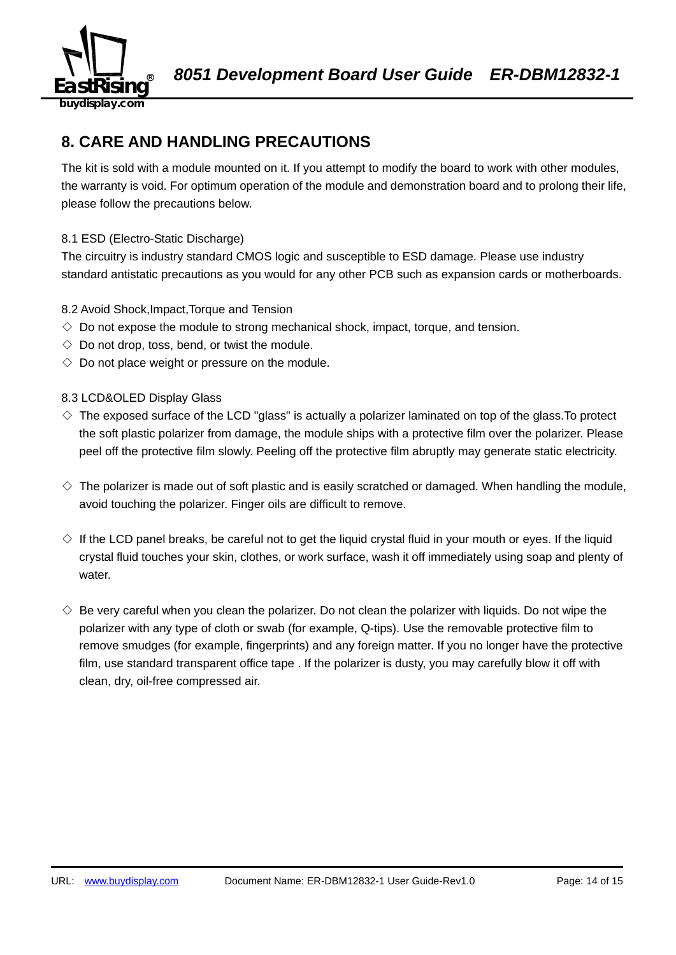

## **8. CARE AND HANDLING PRECAUTIONS**

The kit is sold with a module mounted on it. If you attempt to modify the board to work with other modules, the warranty is void. For optimum operation of the module and demonstration board and to prolong their life, please follow the precautions below.

## 8.1 ESD (Electro-Static Discharge)

The circuitry is industry standard CMOS logic and susceptible to ESD damage. Please use industry standard antistatic precautions as you would for any other PCB such as expansion cards or motherboards.

#### 8.2 Avoid Shock,Impact,Torque and Tension

- $\Diamond$  Do not expose the module to strong mechanical shock, impact, torque, and tension.
- $\Diamond$  Do not drop, toss, bend, or twist the module.
- $\Diamond$  Do not place weight or pressure on the module.

#### 8.3 LCD&OLED Display Glass

- $\diamond$  The exposed surface of the LCD "glass" is actually a polarizer laminated on top of the glass. To protect the soft plastic polarizer from damage, the module ships with a protective film over the polarizer. Please peel off the protective film slowly. Peeling off the protective film abruptly may generate static electricity.
- $\diamond$  The polarizer is made out of soft plastic and is easily scratched or damaged. When handling the module, avoid touching the polarizer. Finger oils are difficult to remove.
- $\Diamond$  If the LCD panel breaks, be careful not to get the liquid crystal fluid in your mouth or eyes. If the liquid crystal fluid touches your skin, clothes, or work surface, wash it off immediately using soap and plenty of water.
- $\diamondsuit$  Be very careful when you clean the polarizer. Do not clean the polarizer with liquids. Do not wipe the polarizer with any type of cloth or swab (for example, Q-tips). Use the removable protective film to remove smudges (for example, fingerprints) and any foreign matter. If you no longer have the protective film, use standard transparent office tape . If the polarizer is dusty, you may carefully blow it off with clean, dry, oil-free compressed air.